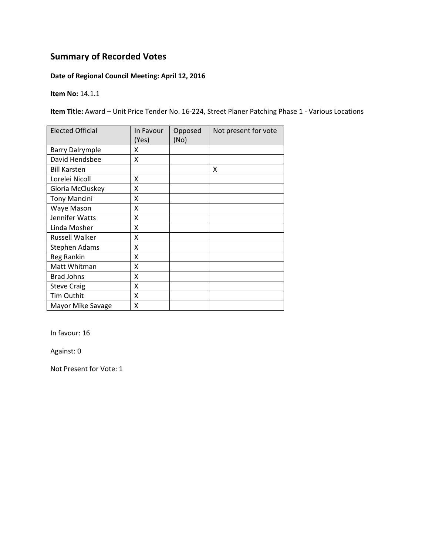# **Summary of Recorded Votes**

## **Date of Regional Council Meeting: April 12, 2016**

**Item No:** 14.1.1

**Item Title:** Award – Unit Price Tender No. 16‐224, Street Planer Patching Phase 1 ‐ Various Locations

| <b>Elected Official</b> | In Favour<br>(Yes) | Opposed<br>(No) | Not present for vote |
|-------------------------|--------------------|-----------------|----------------------|
| <b>Barry Dalrymple</b>  | x                  |                 |                      |
| David Hendsbee          | X                  |                 |                      |
| <b>Bill Karsten</b>     |                    |                 | X                    |
| Lorelei Nicoll          | x                  |                 |                      |
| Gloria McCluskey        | Χ                  |                 |                      |
| <b>Tony Mancini</b>     | Χ                  |                 |                      |
| Waye Mason              | X                  |                 |                      |
| Jennifer Watts          | Χ                  |                 |                      |
| Linda Mosher            | Χ                  |                 |                      |
| <b>Russell Walker</b>   | X                  |                 |                      |
| Stephen Adams           | X                  |                 |                      |
| Reg Rankin              | X                  |                 |                      |
| Matt Whitman            | Χ                  |                 |                      |
| <b>Brad Johns</b>       | X                  |                 |                      |
| <b>Steve Craig</b>      | X                  |                 |                      |
| <b>Tim Outhit</b>       | Χ                  |                 |                      |
| Mayor Mike Savage       | Χ                  |                 |                      |

In favour: 16

Against: 0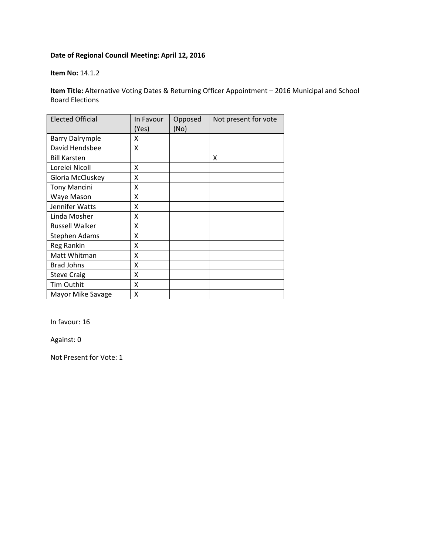#### **Item No:** 14.1.2

**Item Title:** Alternative Voting Dates & Returning Officer Appointment – 2016 Municipal and School Board Elections

| <b>Elected Official</b> | In Favour<br>(Yes) | Opposed<br>(No) | Not present for vote |
|-------------------------|--------------------|-----------------|----------------------|
| <b>Barry Dalrymple</b>  | X                  |                 |                      |
| David Hendsbee          | x                  |                 |                      |
| <b>Bill Karsten</b>     |                    |                 | X                    |
| Lorelei Nicoll          | x                  |                 |                      |
| Gloria McCluskey        | X                  |                 |                      |
| <b>Tony Mancini</b>     | Χ                  |                 |                      |
| Waye Mason              | Χ                  |                 |                      |
| Jennifer Watts          | x                  |                 |                      |
| Linda Mosher            | X                  |                 |                      |
| <b>Russell Walker</b>   | X                  |                 |                      |
| Stephen Adams           | X                  |                 |                      |
| Reg Rankin              | X                  |                 |                      |
| Matt Whitman            | X                  |                 |                      |
| <b>Brad Johns</b>       | X                  |                 |                      |
| <b>Steve Craig</b>      | X                  |                 |                      |
| Tim Outhit              | x                  |                 |                      |
| Mayor Mike Savage       | X                  |                 |                      |

In favour: 16

Against: 0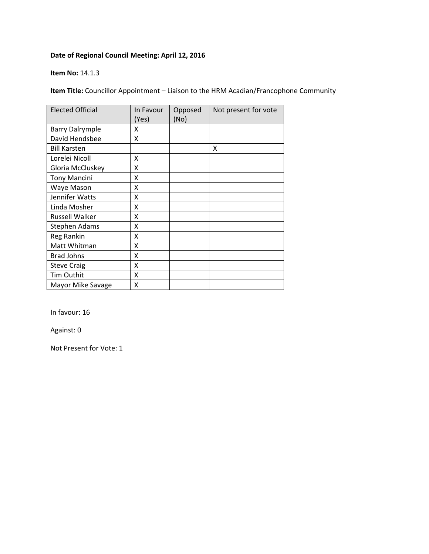#### **Item No:** 14.1.3

**Item Title:** Councillor Appointment – Liaison to the HRM Acadian/Francophone Community

| <b>Elected Official</b> | In Favour<br>(Yes) | Opposed<br>(No) | Not present for vote |
|-------------------------|--------------------|-----------------|----------------------|
| <b>Barry Dalrymple</b>  | x                  |                 |                      |
| David Hendsbee          | X                  |                 |                      |
| <b>Bill Karsten</b>     |                    |                 | X                    |
| Lorelei Nicoll          | X                  |                 |                      |
| Gloria McCluskey        | X                  |                 |                      |
| <b>Tony Mancini</b>     | X                  |                 |                      |
| Waye Mason              | Χ                  |                 |                      |
| Jennifer Watts          | x                  |                 |                      |
| Linda Mosher            | χ                  |                 |                      |
| Russell Walker          | χ                  |                 |                      |
| Stephen Adams           | Χ                  |                 |                      |
| Reg Rankin              | X                  |                 |                      |
| Matt Whitman            | X                  |                 |                      |
| <b>Brad Johns</b>       | x                  |                 |                      |
| <b>Steve Craig</b>      | x                  |                 |                      |
| <b>Tim Outhit</b>       | x                  |                 |                      |
| Mayor Mike Savage       | x                  |                 |                      |

In favour: 16

Against: 0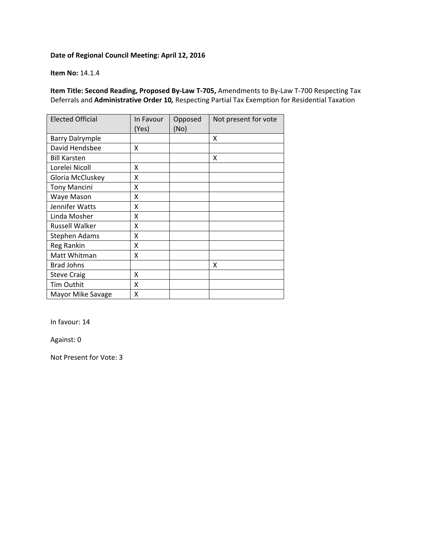#### **Item No:** 14.1.4

**Item Title: Second Reading, Proposed By‐Law T‐705,** Amendments to By‐Law T‐700 Respecting Tax Deferrals and **Administrative Order 10***,* Respecting Partial Tax Exemption for Residential Taxation

| <b>Elected Official</b> | In Favour<br>(Yes) | Opposed<br>(No) | Not present for vote |
|-------------------------|--------------------|-----------------|----------------------|
| <b>Barry Dalrymple</b>  |                    |                 | X                    |
| David Hendsbee          | X                  |                 |                      |
| <b>Bill Karsten</b>     |                    |                 | X                    |
| Lorelei Nicoll          | X                  |                 |                      |
| Gloria McCluskey        | x                  |                 |                      |
| <b>Tony Mancini</b>     | X                  |                 |                      |
| Waye Mason              | X                  |                 |                      |
| Jennifer Watts          | X                  |                 |                      |
| Linda Mosher            | x                  |                 |                      |
| <b>Russell Walker</b>   | x                  |                 |                      |
| Stephen Adams           | X                  |                 |                      |
| Reg Rankin              | X                  |                 |                      |
| Matt Whitman            | X                  |                 |                      |
| <b>Brad Johns</b>       |                    |                 | X                    |
| <b>Steve Craig</b>      | X                  |                 |                      |
| Tim Outhit              | x                  |                 |                      |
| Mayor Mike Savage       | Χ                  |                 |                      |

In favour: 14

Against: 0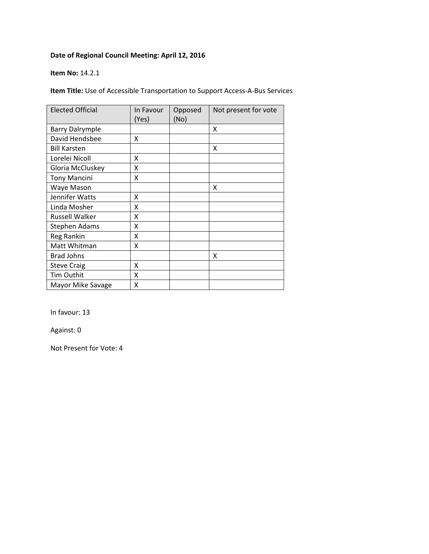#### **Item No:** 14.2.1

**Item Title:** Use of Accessible Transportation to Support Access‐A‐Bus Services

| <b>Elected Official</b> | In Favour<br>(Yes) | Opposed<br>(No) | Not present for vote |
|-------------------------|--------------------|-----------------|----------------------|
| <b>Barry Dalrymple</b>  |                    |                 | X                    |
| David Hendsbee          | X                  |                 |                      |
| <b>Bill Karsten</b>     |                    |                 | X                    |
| Lorelei Nicoll          | X                  |                 |                      |
| Gloria McCluskey        | X                  |                 |                      |
| <b>Tony Mancini</b>     | X                  |                 |                      |
| Waye Mason              |                    |                 | X                    |
| Jennifer Watts          | X                  |                 |                      |
| Linda Mosher            | Χ                  |                 |                      |
| <b>Russell Walker</b>   | χ                  |                 |                      |
| <b>Stephen Adams</b>    | χ                  |                 |                      |
| Reg Rankin              | Χ                  |                 |                      |
| Matt Whitman            | Χ                  |                 |                      |
| <b>Brad Johns</b>       |                    |                 | X                    |
| <b>Steve Craig</b>      | Χ                  |                 |                      |
| Tim Outhit              | Χ                  |                 |                      |
| Mayor Mike Savage       | χ                  |                 |                      |

In favour: 13

Against: 0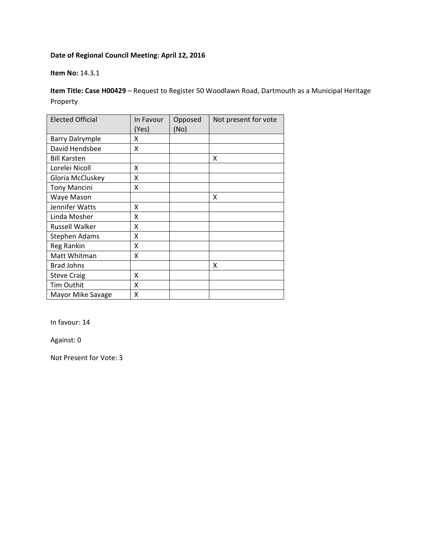#### **Item No:** 14.3.1

**Item Title: Case H00429** – Request to Register 50 Woodlawn Road, Dartmouth as a Municipal Heritage Property

| <b>Elected Official</b> | In Favour<br>(Yes) | Opposed<br>(No) | Not present for vote |
|-------------------------|--------------------|-----------------|----------------------|
| <b>Barry Dalrymple</b>  | X                  |                 |                      |
| David Hendsbee          | Χ                  |                 |                      |
| <b>Bill Karsten</b>     |                    |                 | X                    |
| Lorelei Nicoll          | x                  |                 |                      |
| Gloria McCluskey        | X                  |                 |                      |
| <b>Tony Mancini</b>     | Χ                  |                 |                      |
| Waye Mason              |                    |                 | X                    |
| Jennifer Watts          | x                  |                 |                      |
| Linda Mosher            | χ                  |                 |                      |
| Russell Walker          | Χ                  |                 |                      |
| <b>Stephen Adams</b>    | Χ                  |                 |                      |
| Reg Rankin              | X                  |                 |                      |
| Matt Whitman            | X                  |                 |                      |
| <b>Brad Johns</b>       |                    |                 | X                    |
| <b>Steve Craig</b>      | X                  |                 |                      |
| Tim Outhit              | X                  |                 |                      |
| Mayor Mike Savage       | X                  |                 |                      |

In favour: 14

Against: 0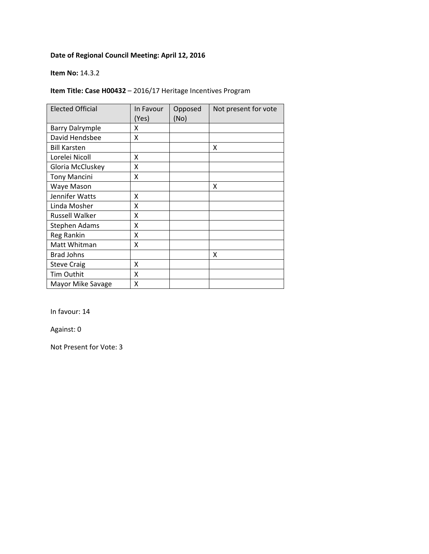#### **Item No:** 14.3.2

## **Item Title: Case H00432** – 2016/17 Heritage Incentives Program

| <b>Elected Official</b> | In Favour<br>(Yes) | Opposed<br>(No) | Not present for vote |
|-------------------------|--------------------|-----------------|----------------------|
| <b>Barry Dalrymple</b>  | X                  |                 |                      |
| David Hendsbee          | X                  |                 |                      |
| <b>Bill Karsten</b>     |                    |                 | X                    |
| Lorelei Nicoll          | x                  |                 |                      |
| Gloria McCluskey        | x                  |                 |                      |
| <b>Tony Mancini</b>     | X                  |                 |                      |
| Waye Mason              |                    |                 | X                    |
| Jennifer Watts          | x                  |                 |                      |
| Linda Mosher            | χ                  |                 |                      |
| <b>Russell Walker</b>   | χ                  |                 |                      |
| Stephen Adams           | Χ                  |                 |                      |
| Reg Rankin              | X                  |                 |                      |
| Matt Whitman            | X                  |                 |                      |
| <b>Brad Johns</b>       |                    |                 | x                    |
| <b>Steve Craig</b>      | x                  |                 |                      |
| Tim Outhit              | x                  |                 |                      |
| Mayor Mike Savage       | X                  |                 |                      |

In favour: 14

Against: 0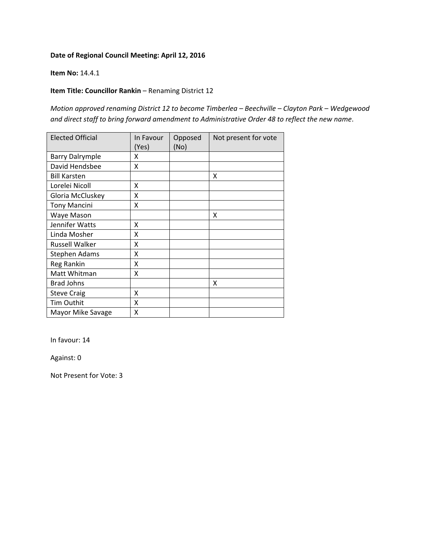#### **Item No:** 14.4.1

### **Item Title: Councillor Rankin** – Renaming District 12

*Motion approved renaming District 12 to become Timberlea – Beechville – Clayton Park – Wedgewood and direct staff to bring forward amendment to Administrative Order 48 to reflect the new name*.

| <b>Elected Official</b> | In Favour<br>(Yes) | Opposed<br>(No) | Not present for vote |
|-------------------------|--------------------|-----------------|----------------------|
| <b>Barry Dalrymple</b>  | Χ                  |                 |                      |
| David Hendsbee          | X                  |                 |                      |
| <b>Bill Karsten</b>     |                    |                 | Χ                    |
| Lorelei Nicoll          | Χ                  |                 |                      |
| Gloria McCluskey        | Χ                  |                 |                      |
| <b>Tony Mancini</b>     | X                  |                 |                      |
| Waye Mason              |                    |                 | x                    |
| Jennifer Watts          | X                  |                 |                      |
| Linda Mosher            | x                  |                 |                      |
| <b>Russell Walker</b>   | x                  |                 |                      |
| Stephen Adams           | Χ                  |                 |                      |
| Reg Rankin              | Χ                  |                 |                      |
| Matt Whitman            | x                  |                 |                      |
| <b>Brad Johns</b>       |                    |                 | X                    |
| <b>Steve Craig</b>      | X                  |                 |                      |
| Tim Outhit              | X                  |                 |                      |
| Mayor Mike Savage       | Χ                  |                 |                      |

In favour: 14

Against: 0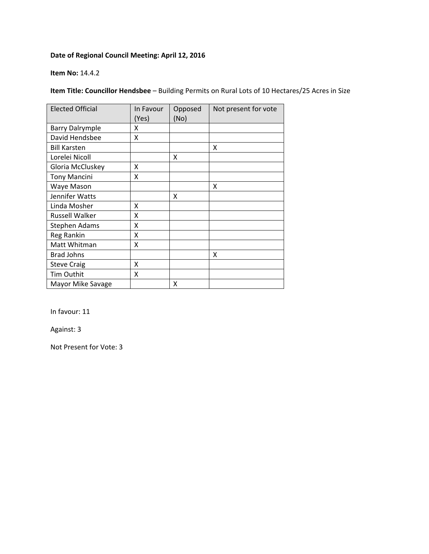#### **Item No:** 14.4.2

## **Item Title: Councillor Hendsbee** – Building Permits on Rural Lots of 10 Hectares/25 Acres in Size

| <b>Elected Official</b> | In Favour<br>(Yes) | Opposed<br>(No) | Not present for vote |
|-------------------------|--------------------|-----------------|----------------------|
| <b>Barry Dalrymple</b>  | x                  |                 |                      |
| David Hendsbee          | X                  |                 |                      |
| <b>Bill Karsten</b>     |                    |                 | X                    |
| Lorelei Nicoll          |                    | X               |                      |
| Gloria McCluskey        | X                  |                 |                      |
| <b>Tony Mancini</b>     | X                  |                 |                      |
| Waye Mason              |                    |                 | x                    |
| Jennifer Watts          |                    | x               |                      |
| Linda Mosher            | x                  |                 |                      |
| <b>Russell Walker</b>   | X                  |                 |                      |
| Stephen Adams           | Χ                  |                 |                      |
| Reg Rankin              | x                  |                 |                      |
| Matt Whitman            | x                  |                 |                      |
| <b>Brad Johns</b>       |                    |                 | x                    |
| <b>Steve Craig</b>      | x                  |                 |                      |
| Tim Outhit              | x                  |                 |                      |
| Mayor Mike Savage       |                    | x               |                      |

In favour: 11

Against: 3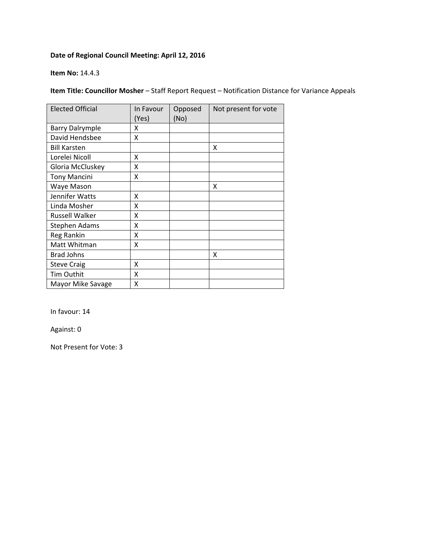#### **Item No:** 14.4.3

## **Item Title: Councillor Mosher** – Staff Report Request – Notification Distance for Variance Appeals

| <b>Elected Official</b> | In Favour<br>(Yes) | Opposed<br>(No) | Not present for vote |
|-------------------------|--------------------|-----------------|----------------------|
| <b>Barry Dalrymple</b>  | X                  |                 |                      |
| David Hendsbee          | X                  |                 |                      |
| <b>Bill Karsten</b>     |                    |                 | X                    |
| Lorelei Nicoll          | x                  |                 |                      |
| Gloria McCluskey        | X                  |                 |                      |
| <b>Tony Mancini</b>     | X                  |                 |                      |
| Waye Mason              |                    |                 | x                    |
| Jennifer Watts          | x                  |                 |                      |
| Linda Mosher            | χ                  |                 |                      |
| Russell Walker          | Χ                  |                 |                      |
| Stephen Adams           | Χ                  |                 |                      |
| Reg Rankin              | X                  |                 |                      |
| Matt Whitman            | X                  |                 |                      |
| <b>Brad Johns</b>       |                    |                 | X                    |
| <b>Steve Craig</b>      | x                  |                 |                      |
| <b>Tim Outhit</b>       | X                  |                 |                      |
| Mayor Mike Savage       | x                  |                 |                      |

In favour: 14

Against: 0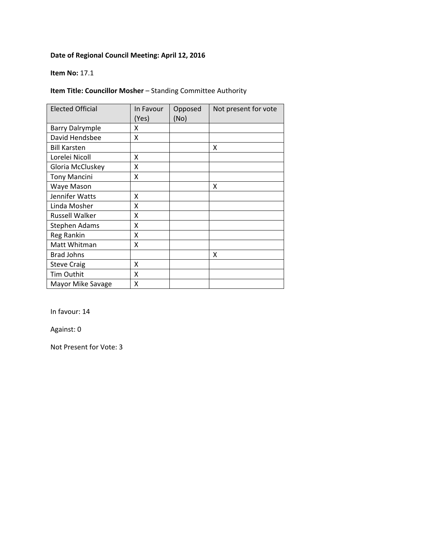#### **Item No:** 17.1

## **Item Title: Councillor Mosher** – Standing Committee Authority

| <b>Elected Official</b> | In Favour<br>(Yes) | Opposed<br>(No) | Not present for vote |
|-------------------------|--------------------|-----------------|----------------------|
| <b>Barry Dalrymple</b>  | x                  |                 |                      |
| David Hendsbee          | X                  |                 |                      |
| <b>Bill Karsten</b>     |                    |                 | X                    |
| Lorelei Nicoll          | x                  |                 |                      |
| Gloria McCluskey        | x                  |                 |                      |
| <b>Tony Mancini</b>     | X                  |                 |                      |
| Waye Mason              |                    |                 | X                    |
| Jennifer Watts          | x                  |                 |                      |
| Linda Mosher            | x                  |                 |                      |
| <b>Russell Walker</b>   | χ                  |                 |                      |
| <b>Stephen Adams</b>    | Χ                  |                 |                      |
| Reg Rankin              | X                  |                 |                      |
| Matt Whitman            | X                  |                 |                      |
| <b>Brad Johns</b>       |                    |                 | X                    |
| <b>Steve Craig</b>      | x                  |                 |                      |
| Tim Outhit              | x                  |                 |                      |
| Mayor Mike Savage       | X                  |                 |                      |

In favour: 14

Against: 0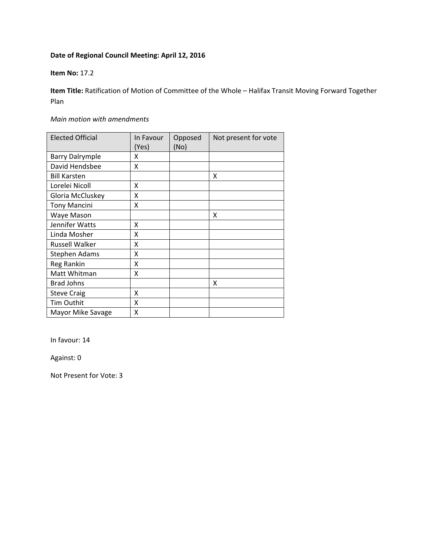#### **Item No:** 17.2

**Item Title:** Ratification of Motion of Committee of the Whole – Halifax Transit Moving Forward Together Plan

#### *Main motion with amendments*

| <b>Elected Official</b> | In Favour<br>(Yes) | Opposed<br>(No) | Not present for vote |
|-------------------------|--------------------|-----------------|----------------------|
| <b>Barry Dalrymple</b>  | x                  |                 |                      |
| David Hendsbee          | X                  |                 |                      |
| <b>Bill Karsten</b>     |                    |                 | X                    |
| Lorelei Nicoll          | X                  |                 |                      |
| Gloria McCluskey        | X                  |                 |                      |
| <b>Tony Mancini</b>     | x                  |                 |                      |
| Waye Mason              |                    |                 | X                    |
| Jennifer Watts          | x                  |                 |                      |
| Linda Mosher            | x                  |                 |                      |
| <b>Russell Walker</b>   | X                  |                 |                      |
| Stephen Adams           | Χ                  |                 |                      |
| Reg Rankin              | X                  |                 |                      |
| Matt Whitman            | x                  |                 |                      |
| <b>Brad Johns</b>       |                    |                 | x                    |
| <b>Steve Craig</b>      | X                  |                 |                      |
| Tim Outhit              | Χ                  |                 |                      |
| Mayor Mike Savage       | X                  |                 |                      |

In favour: 14

Against: 0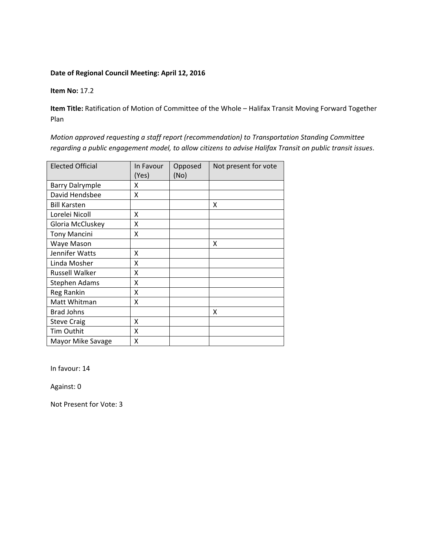**Item No:** 17.2

**Item Title:** Ratification of Motion of Committee of the Whole – Halifax Transit Moving Forward Together Plan

*Motion approved requesting a staff report (recommendation) to Transportation Standing Committee regarding a public engagement model, to allow citizens to advise Halifax Transit on public transit issues*.

| <b>Elected Official</b> | In Favour<br>(Yes) | Opposed<br>(No) | Not present for vote |
|-------------------------|--------------------|-----------------|----------------------|
| <b>Barry Dalrymple</b>  | Χ                  |                 |                      |
| David Hendsbee          | Χ                  |                 |                      |
| <b>Bill Karsten</b>     |                    |                 | Χ                    |
| Lorelei Nicoll          | x                  |                 |                      |
| Gloria McCluskey        | X                  |                 |                      |
| <b>Tony Mancini</b>     | X                  |                 |                      |
| Waye Mason              |                    |                 | x                    |
| Jennifer Watts          | x                  |                 |                      |
| Linda Mosher            | x                  |                 |                      |
| <b>Russell Walker</b>   | x                  |                 |                      |
| <b>Stephen Adams</b>    | X                  |                 |                      |
| Reg Rankin              | X                  |                 |                      |
| Matt Whitman            | X                  |                 |                      |
| <b>Brad Johns</b>       |                    |                 | x                    |
| <b>Steve Craig</b>      | X                  |                 |                      |
| Tim Outhit              | x                  |                 |                      |
| Mayor Mike Savage       | X                  |                 |                      |

In favour: 14

Against: 0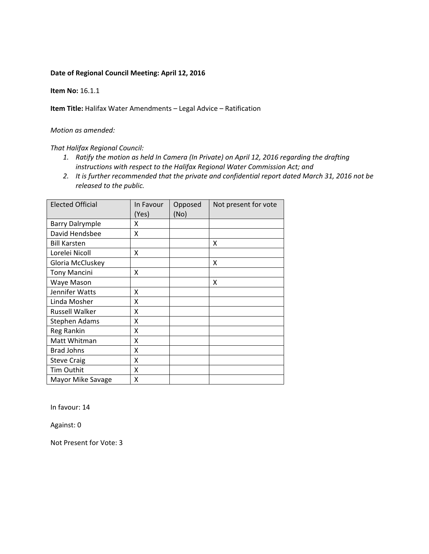**Item No:** 16.1.1

**Item Title:** Halifax Water Amendments *–* Legal Advice – Ratification

#### *Motion as amended:*

#### *That Halifax Regional Council:*

- *1. Ratify the motion as held In Camera (In Private) on April 12, 2016 regarding the drafting instructions with respect to the Halifax Regional Water Commission Act; and*
- *2. It is further recommended that the private and confidential report dated March 31, 2016 not be released to the public.*

| <b>Elected Official</b> | In Favour<br>(Yes) | Opposed<br>(No) | Not present for vote |
|-------------------------|--------------------|-----------------|----------------------|
| <b>Barry Dalrymple</b>  | x                  |                 |                      |
| David Hendsbee          | X                  |                 |                      |
| <b>Bill Karsten</b>     |                    |                 | X                    |
| Lorelei Nicoll          | X                  |                 |                      |
| Gloria McCluskey        |                    |                 | X                    |
| <b>Tony Mancini</b>     | x                  |                 |                      |
| Waye Mason              |                    |                 | x                    |
| Jennifer Watts          | X                  |                 |                      |
| Linda Mosher            | X                  |                 |                      |
| <b>Russell Walker</b>   | X                  |                 |                      |
| <b>Stephen Adams</b>    | x                  |                 |                      |
| Reg Rankin              | x                  |                 |                      |
| Matt Whitman            | X                  |                 |                      |
| <b>Brad Johns</b>       | x                  |                 |                      |
| <b>Steve Craig</b>      | x                  |                 |                      |
| Tim Outhit              | x                  |                 |                      |
| Mayor Mike Savage       | X                  |                 |                      |

In favour: 14

Against: 0